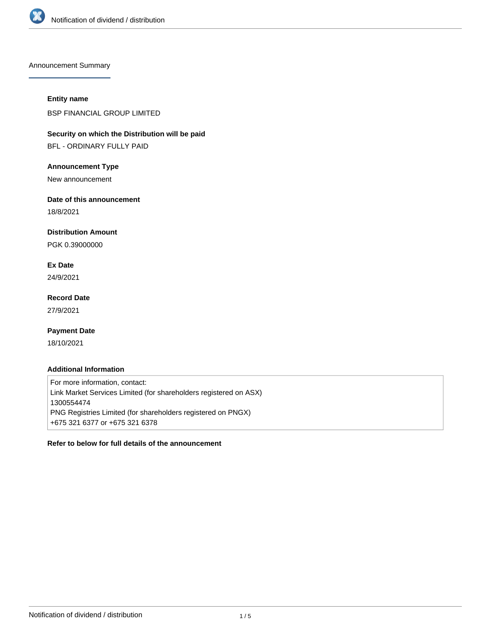

Announcement Summary

### **Entity name**

BSP FINANCIAL GROUP LIMITED

# **Security on which the Distribution will be paid**

BFL - ORDINARY FULLY PAID

### **Announcement Type**

New announcement

### **Date of this announcement**

18/8/2021

### **Distribution Amount**

PGK 0.39000000

# **Ex Date**

24/9/2021

# **Record Date**

27/9/2021

## **Payment Date**

18/10/2021

### **Additional Information**

For more information, contact: Link Market Services Limited (for shareholders registered on ASX) 1300554474 PNG Registries Limited (for shareholders registered on PNGX) +675 321 6377 or +675 321 6378

## **Refer to below for full details of the announcement**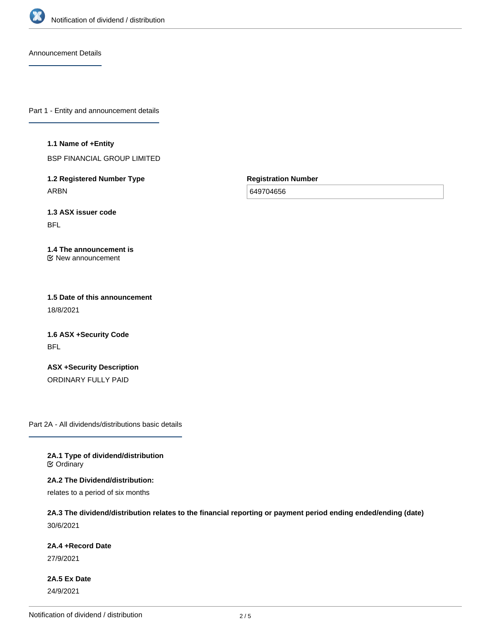

Announcement Details

Part 1 - Entity and announcement details

#### **1.1 Name of +Entity**

BSP FINANCIAL GROUP LIMITED

**1.2 Registered Number Type** ARBN

**Registration Number**

649704656

**1.3 ASX issuer code** BFL

#### **1.4 The announcement is** New announcement

**1.5 Date of this announcement** 18/8/2021

**1.6 ASX +Security Code** BFL

**ASX +Security Description** ORDINARY FULLY PAID

Part 2A - All dividends/distributions basic details

**2A.1 Type of dividend/distribution C** Ordinary

**2A.2 The Dividend/distribution:**

relates to a period of six months

**2A.3 The dividend/distribution relates to the financial reporting or payment period ending ended/ending (date)** 30/6/2021

#### **2A.4 +Record Date**

27/9/2021

**2A.5 Ex Date** 24/9/2021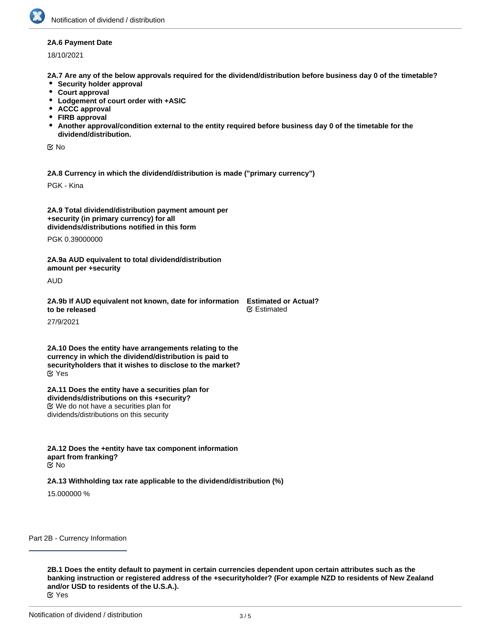#### **2A.6 Payment Date**

18/10/2021

**2A.7 Are any of the below approvals required for the dividend/distribution before business day 0 of the timetable?**

- **•** Security holder approval
- **Court approval**
- **Lodgement of court order with +ASIC**
- **ACCC approval**
- **FIRB approval**
- **Another approval/condition external to the entity required before business day 0 of the timetable for the dividend/distribution.**

No

**2A.8 Currency in which the dividend/distribution is made ("primary currency")**

PGK - Kina

**2A.9 Total dividend/distribution payment amount per +security (in primary currency) for all dividends/distributions notified in this form**

PGK 0.39000000

**2A.9a AUD equivalent to total dividend/distribution amount per +security**

AUD

**2A.9b If AUD equivalent not known, date for information Estimated or Actual? to be released** ∉ Estimated

27/9/2021

**2A.10 Does the entity have arrangements relating to the currency in which the dividend/distribution is paid to securityholders that it wishes to disclose to the market?** Yes

**2A.11 Does the entity have a securities plan for dividends/distributions on this +security?** We do not have a securities plan for dividends/distributions on this security

**2A.12 Does the +entity have tax component information apart from franking?** No

**2A.13 Withholding tax rate applicable to the dividend/distribution (%)**

15.000000 %

Part 2B - Currency Information

**2B.1 Does the entity default to payment in certain currencies dependent upon certain attributes such as the banking instruction or registered address of the +securityholder? (For example NZD to residents of New Zealand and/or USD to residents of the U.S.A.).** Yes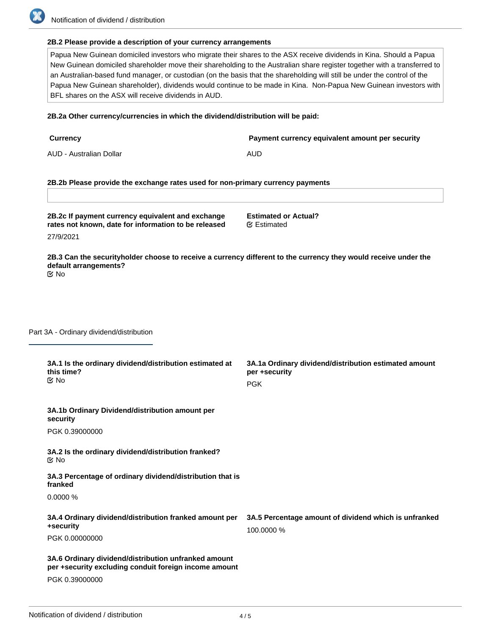#### **2B.2 Please provide a description of your currency arrangements**

Papua New Guinean domiciled investors who migrate their shares to the ASX receive dividends in Kina. Should a Papua New Guinean domiciled shareholder move their shareholding to the Australian share register together with a transferred to an Australian-based fund manager, or custodian (on the basis that the shareholding will still be under the control of the Papua New Guinean shareholder), dividends would continue to be made in Kina. Non-Papua New Guinean investors with BFL shares on the ASX will receive dividends in AUD.

#### **2B.2a Other currency/currencies in which the dividend/distribution will be paid:**

| <b>Currency</b>         | Payment currency equivalent amount per security |
|-------------------------|-------------------------------------------------|
| AUD - Australian Dollar | AUD                                             |

#### **2B.2b Please provide the exchange rates used for non-primary currency payments**

**2B.2c If payment currency equivalent and exchange rates not known, date for information to be released**

**Estimated or Actual?** Estimated

27/9/2021

**2B.3 Can the securityholder choose to receive a currency different to the currency they would receive under the default arrangements?** No

Part 3A - Ordinary dividend/distribution

| 3A.1 Is the ordinary dividend/distribution estimated at<br>this time?<br>় No                                 | 3A.1a Ordinary dividend/distribution estimated amount<br>per +security<br><b>PGK</b> |
|---------------------------------------------------------------------------------------------------------------|--------------------------------------------------------------------------------------|
| 3A.1b Ordinary Dividend/distribution amount per<br>security                                                   |                                                                                      |
| PGK 0.39000000                                                                                                |                                                                                      |
| 3A.2 Is the ordinary dividend/distribution franked?<br>় No                                                   |                                                                                      |
| 3A.3 Percentage of ordinary dividend/distribution that is<br>franked                                          |                                                                                      |
| 0.0000%                                                                                                       |                                                                                      |
| 3A.4 Ordinary dividend/distribution franked amount per<br>+security                                           | 3A.5 Percentage amount of dividend which is unfranked<br>100.0000 %                  |
| PGK 0.00000000                                                                                                |                                                                                      |
| 3A.6 Ordinary dividend/distribution unfranked amount<br>per +security excluding conduit foreign income amount |                                                                                      |
| PGK 0.39000000                                                                                                |                                                                                      |